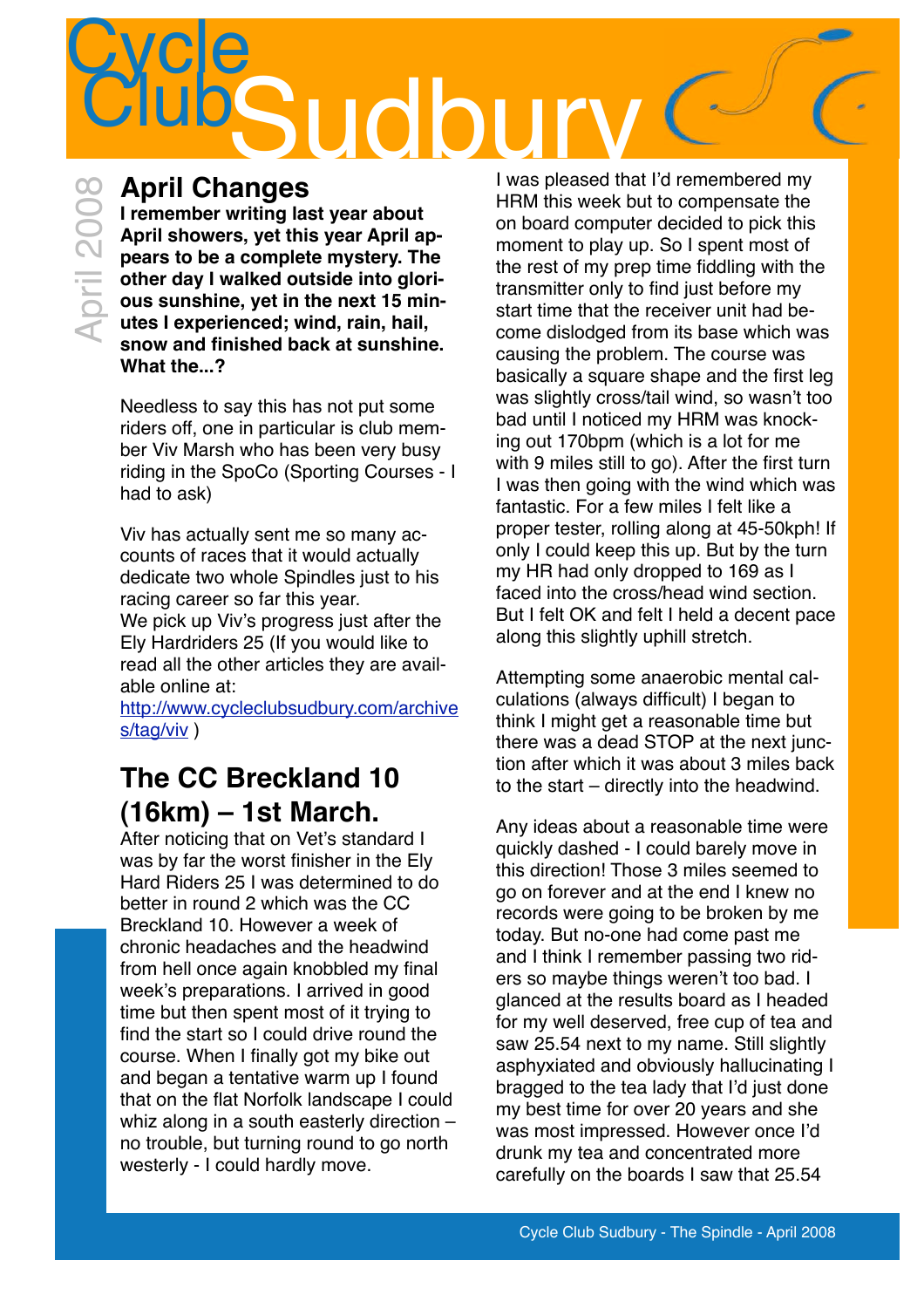## **Cycle** Sudbu

### **April Changes**

**I remember writing last year about April showers, yet this year April appears to be a complete mystery. The other day I walked outside into glorious sunshine, yet in the next 15 minutes I experienced; wind, rain, hail, snow and finished back at sunshine. What the...?**

Needless to say this has not put some riders off, one in particular is club member Viv Marsh who has been very busy riding in the SpoCo (Sporting Courses - I had to ask)

Viv has actually sent me so many accounts of races that it would actually dedicate two whole Spindles just to his racing career so far this year. We pick up Viv's progress just after the Ely Hardriders 25 (If you would like to read all the other articles they are available online at:

[http://www.cycleclubsudbury.com/archive](http://www.cycleclubsudbury.com/archives/tag/viv) [s/tag/viv](http://www.cycleclubsudbury.com/archives/tag/viv))

## **The CC Breckland 10 (16km) – 1st March.**

After noticing that on Vet's standard I was by far the worst finisher in the Ely Hard Riders 25 I was determined to do better in round 2 which was the CC Breckland 10. However a week of chronic headaches and the headwind from hell once again knobbled my final week's preparations. I arrived in good time but then spent most of it trying to find the start so I could drive round the course. When I finally got my bike out and began a tentative warm up I found that on the flat Norfolk landscape I could whiz along in a south easterly direction – no trouble, but turning round to go north westerly - I could hardly move.

I was pleased that I'd remembered my HRM this week but to compensate the on board computer decided to pick this moment to play up. So I spent most of the rest of my prep time fiddling with the transmitter only to find just before my start time that the receiver unit had become dislodged from its base which was causing the problem. The course was basically a square shape and the first leg was slightly cross/tail wind, so wasn't too bad until I noticed my HRM was knocking out 170bpm (which is a lot for me with 9 miles still to go). After the first turn I was then going with the wind which was fantastic. For a few miles I felt like a proper tester, rolling along at 45-50kph! If only I could keep this up. But by the turn my HR had only dropped to 169 as I faced into the cross/head wind section But I felt OK and felt I held a decent pace along this slightly uphill stretch.

Attempting some anaerobic mental calculations (always difficult) I began to think I might get a reasonable time but there was a dead STOP at the next junction after which it was about 3 miles back to the start – directly into the headwind.

Any ideas about a reasonable time were quickly dashed - I could barely move in this direction! Those 3 miles seemed to go on forever and at the end I knew no records were going to be broken by me today. But no-one had come past me and I think I remember passing two riders so maybe things weren't too bad. I glanced at the results board as I headed for my well deserved, free cup of tea and saw 25.54 next to my name. Still slightly asphyxiated and obviously hallucinating I bragged to the tea lady that I'd just done my best time for over 20 years and she was most impressed. However once I'd drunk my tea and concentrated more carefully on the boards I saw that 25.54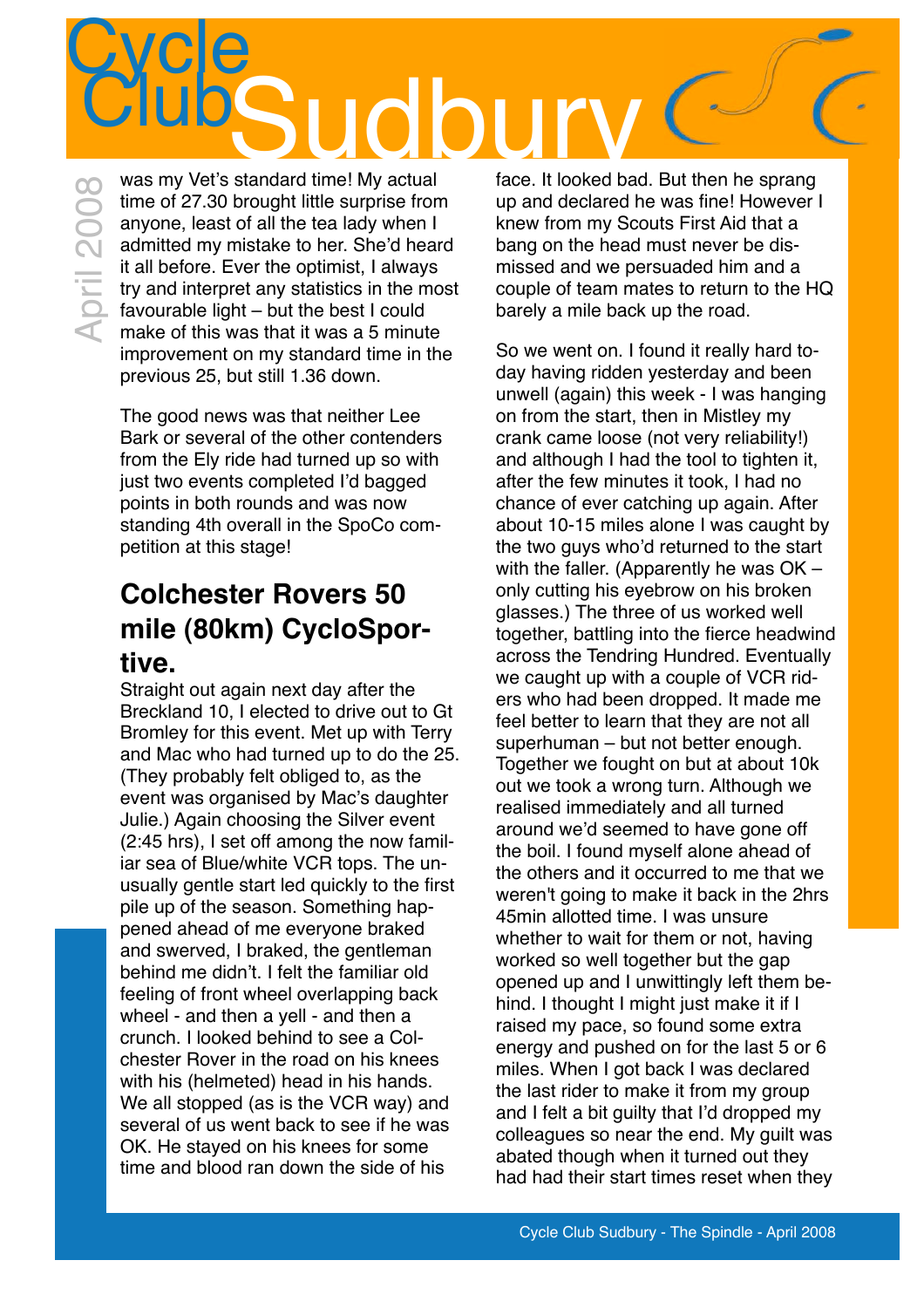## **Cycle** Club<br>
was my Vet's standard time! My actual face. It looked back

time of 27.30 brought little surprise from anyone, least of all the tea lady when I admitted my mistake to her. She'd heard it all before. Ever the optimist, I always try and interpret any statistics in the most favourable light – but the best I could was my vet s standard time! My actual<br>time of 27.30 brought little surprise from<br>anyone, least of all the tea lady when I<br>admitted my mistake to her. She'd hear<br>it all before. Ever the optimist, I always<br>try and interpret improvement on my standard time in the previous 25, but still 1.36 down.

> The good news was that neither Lee Bark or several of the other contenders from the Ely ride had turned up so with just two events completed I'd bagged points in both rounds and was now standing 4th overall in the SpoCo competition at this stage!

## **Colchester Rovers 50 mile (80km) CycloSportive.**

Straight out again next day after the Breckland 10, I elected to drive out to Gt Bromley for this event. Met up with Terry and Mac who had turned up to do the 25. (They probably felt obliged to, as the event was organised by Mac's daughter Julie.) Again choosing the Silver event (2:45 hrs), I set off among the now familiar sea of Blue/white VCR tops. The unusually gentle start led quickly to the first pile up of the season. Something happened ahead of me everyone braked and swerved, I braked, the gentleman behind me didn't. I felt the familiar old feeling of front wheel overlapping back wheel - and then a yell - and then a crunch. I looked behind to see a Colchester Rover in the road on his knees with his (helmeted) head in his hands. We all stopped (as is the VCR way) and several of us went back to see if he was OK. He stayed on his knees for some time and blood ran down the side of his

face. It looked bad. But then he sprang up and declared he was fine! However I knew from my Scouts First Aid that a bang on the head must never be dismissed and we persuaded him and a couple of team mates to return to the HQ barely a mile back up the road.

So we went on. I found it really hard today having ridden yesterday and been unwell (again) this week - I was hanging on from the start, then in Mistley my crank came loose (not very reliability!) and although I had the tool to tighten it, after the few minutes it took, I had no chance of ever catching up again. After about 10-15 miles alone I was caught by the two guys who'd returned to the start with the faller. (Apparently he was OK – only cutting his eyebrow on his broken glasses.) The three of us worked well together, battling into the fierce headwind across the Tendring Hundred. Eventually we caught up with a couple of VCR riders who had been dropped. It made me feel better to learn that they are not all superhuman – but not better enough. Together we fought on but at about 10k out we took a wrong turn. Although we realised immediately and all turned around we'd seemed to have gone off the boil. I found myself alone ahead of the others and it occurred to me that we weren't going to make it back in the 2hrs 45min allotted time. I was unsure whether to wait for them or not, having worked so well together but the gap opened up and I unwittingly left them behind. I thought I might just make it if I raised my pace, so found some extra energy and pushed on for the last 5 or 6 miles. When I got back I was declared the last rider to make it from my group and I felt a bit guilty that I'd dropped my colleagues so near the end. My guilt was abated though when it turned out they had had their start times reset when they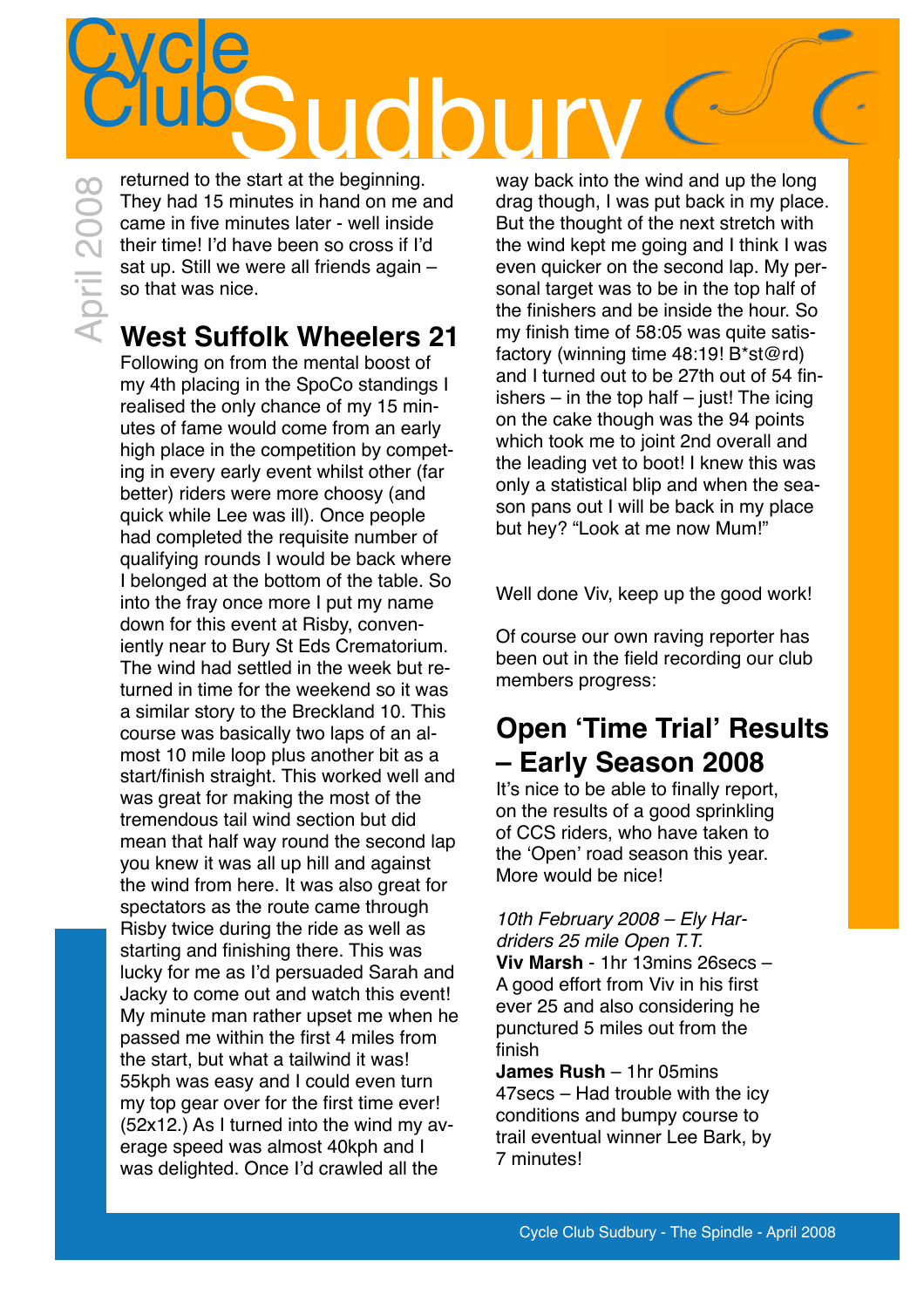# **Cycle** Sudbury Club April 2008

returned to the start at the beginning. They had 15 minutes in hand on me and came in five minutes later - well inside their time! I'd have been so cross if I'd sat up. Still we were all friends again – so that was nice.

## **West Suffolk Wheelers 21**

Following on from the mental boost of my 4th placing in the SpoCo standings I realised the only chance of my 15 minutes of fame would come from an early high place in the competition by competing in every early event whilst other (far better) riders were more choosy (and quick while Lee was ill). Once people had completed the requisite number of qualifying rounds I would be back where I belonged at the bottom of the table. So into the fray once more I put my name down for this event at Risby, conveniently near to Bury St Eds Crematorium. The wind had settled in the week but returned in time for the weekend so it was a similar story to the Breckland 10. This course was basically two laps of an almost 10 mile loop plus another bit as a start/finish straight. This worked well and was great for making the most of the tremendous tail wind section but did mean that half way round the second lap you knew it was all up hill and against the wind from here. It was also great for spectators as the route came through Risby twice during the ride as well as starting and finishing there. This was lucky for me as I'd persuaded Sarah and Jacky to come out and watch this event! My minute man rather upset me when he passed me within the first 4 miles from the start, but what a tailwind it was! 55kph was easy and I could even turn my top gear over for the first time ever! (52x12.) As I turned into the wind my average speed was almost 40kph and I was delighted. Once I'd crawled all the

way back into the wind and up the long drag though, I was put back in my place. But the thought of the next stretch with the wind kept me going and I think I was even quicker on the second lap. My personal target was to be in the top half of the finishers and be inside the hour. So my finish time of 58:05 was quite satisfactory (winning time 48:19! B\*st@rd) and I turned out to be 27th out of 54 finishers  $-$  in the top half  $-$  just! The icing on the cake though was the 94 points which took me to joint 2nd overall and the leading vet to boot! I knew this was only a statistical blip and when the season pans out I will be back in my place but hey? "Look at me now Mum!"

Well done Viv, keep up the good work!

Of course our own raving reporter has been out in the field recording our club members progress:

### **Open ʻTime Trial' Results – Early Season 2008**

It's nice to be able to finally report, on the results of a good sprinkling of CCS riders, who have taken to the ʻOpen' road season this year. More would be nice!

*10th February 2008 – Ely Hardriders 25 mile Open T.T.* **Viv Marsh** - 1hr 13mins 26secs – A good effort from Viv in his first ever 25 and also considering he punctured 5 miles out from the finish

**James Rush** – 1hr 05mins 47secs – Had trouble with the icy conditions and bumpy course to trail eventual winner Lee Bark, by 7 minutes!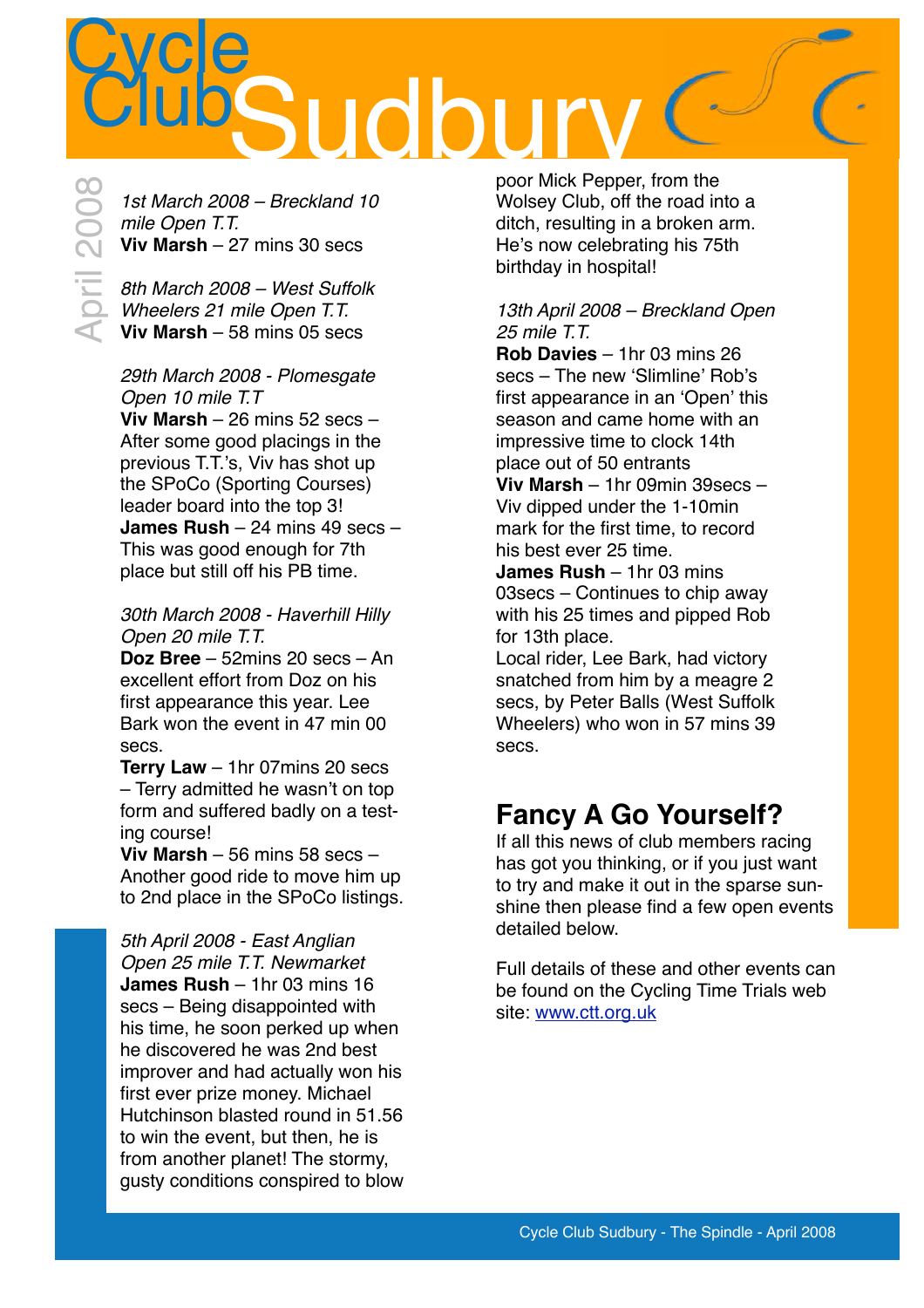

*1st March 2008 – Breckland 10 mile Open T.T.* **Viv Marsh** – 27 mins 30 secs

*8th March 2008 – West Suffolk Wheelers 21 mile Open T.T.* **Viv Marsh** – 58 mins 05 secs

#### *29th March 2008 - Plomesgate Open 10 mile T.T*

**Viv Marsh** – 26 mins 52 secs – After some good placings in the previous T.T.'s, Viv has shot up the SPoCo (Sporting Courses) leader board into the top 3! **James Rush** – 24 mins 49 secs – This was good enough for 7th place but still off his PB time.

#### *30th March 2008 - Haverhill Hilly Open 20 mile T.T.*

**Doz Bree** – 52mins 20 secs – An excellent effort from Doz on his first appearance this year. Lee Bark won the event in 47 min 00 secs.

**Terry Law** – 1hr 07mins 20 secs – Terry admitted he wasn't on top form and suffered badly on a testing course!

**Viv Marsh** – 56 mins 58 secs – Another good ride to move him up to 2nd place in the SPoCo listings.

*5th April 2008 - East Anglian Open 25 mile T.T. Newmarket* **James Rush** – 1hr 03 mins 16 secs – Being disappointed with his time, he soon perked up when he discovered he was 2nd best improver and had actually won his first ever prize money. Michael Hutchinson blasted round in 51.56 to win the event, but then, he is from another planet! The stormy, gusty conditions conspired to blow

poor Mick Pepper, from the Wolsey Club, off the road into a ditch, resulting in a broken arm. He's now celebrating his 75th birthday in hospital!

#### *13th April 2008 – Breckland Open 25 mile T.T.*

**Rob Davies** – 1hr 03 mins 26 secs – The new ʻSlimline' Rob's first appearance in an ʻOpen' this season and came home with an impressive time to clock 14th place out of 50 entrants

**Viv Marsh** – 1hr 09min 39secs – Viv dipped under the 1-10min mark for the first time, to record his best ever 25 time.

**James Rush** – 1hr 03 mins 03secs – Continues to chip away with his 25 times and pipped Rob for 13th place.

Local rider, Lee Bark, had victory snatched from him by a meagre 2 secs, by Peter Balls (West Suffolk Wheelers) who won in 57 mins 39 secs.

## **Fancy A Go Yourself?**

If all this news of club members racing has got you thinking, or if you just want to try and make it out in the sparse sunshine then please find a few open events detailed below.

Full details of these and other events can be found on the Cycling Time Trials web site: [www.ctt.org.uk](http://www.ctt.org.uk)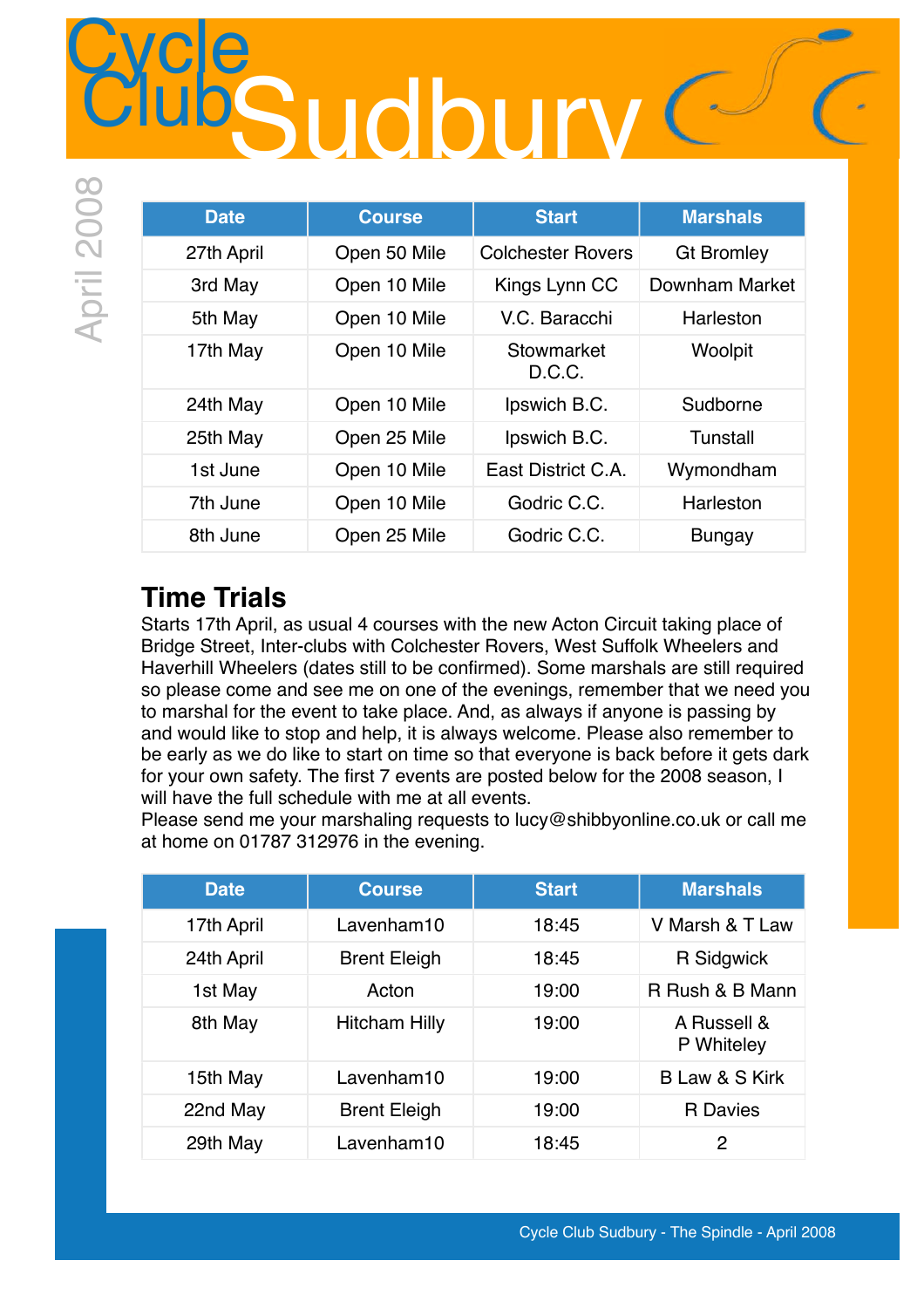## **Cycle** Sudbury C

| <b>Date</b> | <b>Course</b> | <b>Start</b>             | <b>Marshals</b>   |
|-------------|---------------|--------------------------|-------------------|
| 27th April  | Open 50 Mile  | <b>Colchester Rovers</b> | <b>Gt Bromley</b> |
| 3rd May     | Open 10 Mile  | Kings Lynn CC            | Downham Market    |
| 5th May     | Open 10 Mile  | V.C. Baracchi            | Harleston         |
| 17th May    | Open 10 Mile  | Stowmarket<br>D.C.C.     | Woolpit           |
| 24th May    | Open 10 Mile  | Ipswich B.C.             | Sudborne          |
| 25th May    | Open 25 Mile  | Ipswich B.C.             | Tunstall          |
| 1st June    | Open 10 Mile  | East District C.A.       | Wymondham         |
| 7th June    | Open 10 Mile  | Godric C.C.              | Harleston         |
| 8th June    | Open 25 Mile  | Godric C.C.              | <b>Bungay</b>     |

### **Time Trials**

Starts 17th April, as usual 4 courses with the new Acton Circuit taking place of Bridge Street, Inter-clubs with Colchester Rovers, West Suffolk Wheelers and Haverhill Wheelers (dates still to be confirmed). Some marshals are still required so please come and see me on one of the evenings, remember that we need you to marshal for the event to take place. And, as always if anyone is passing by and would like to stop and help, it is always welcome. Please also remember to be early as we do like to start on time so that everyone is back before it gets dark for your own safety. The first 7 events are posted below for the 2008 season, I will have the full schedule with me at all events.

Please send me your marshaling requests to [lucy@shibbyonline.co.uk](mailto:lucy@shibbyonline.co.uk) or call me at home on 01787 312976 in the evening.

| <b>Date</b> | <b>Course</b>        | <b>Start</b> | <b>Marshals</b>           |
|-------------|----------------------|--------------|---------------------------|
| 17th April  | Lavenham10           | 18:45        | V Marsh & T Law           |
| 24th April  | <b>Brent Eleigh</b>  | 18:45        | <b>R</b> Sidgwick         |
| 1st May     | Acton                | 19:00        | R Rush & B Mann           |
| 8th May     | <b>Hitcham Hilly</b> | 19:00        | A Russell &<br>P Whiteley |
| 15th May    | Lavenham10           | 19:00        | <b>BLaw &amp; S Kirk</b>  |
| 22nd May    | <b>Brent Eleigh</b>  | 19:00        | <b>R</b> Davies           |
| 29th May    | Lavenham10           | 18:45        | $\overline{2}$            |